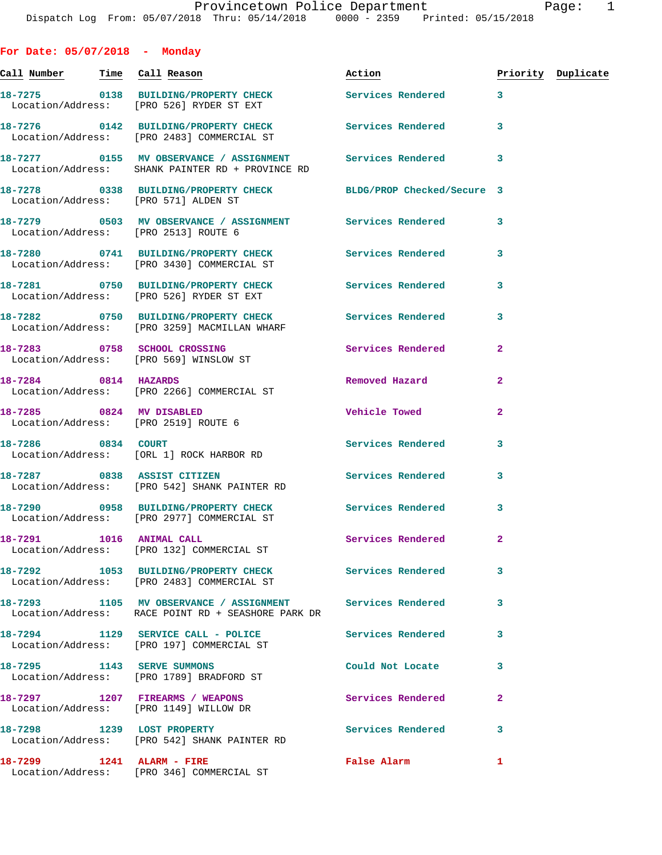**For Date: 05/07/2018 - Monday Call Number Time Call Reason Action Priority Duplicate 18-7275 0138 BUILDING/PROPERTY CHECK Services Rendered 3**  Location/Address: [PRO 526] RYDER ST EXT **18-7276 0142 BUILDING/PROPERTY CHECK Services Rendered 3**  Location/Address: [PRO 2483] COMMERCIAL ST **18-7277 0155 MV OBSERVANCE / ASSIGNMENT Services Rendered 3**  Location/Address: SHANK PAINTER RD + PROVINCE RD **18-7278 0338 BUILDING/PROPERTY CHECK BLDG/PROP Checked/Secure 3**  Location/Address: [PRO 571] ALDEN ST **18-7279 0503 MV OBSERVANCE / ASSIGNMENT Services Rendered 3**  Location/Address: [PRO 2513] ROUTE 6 **18-7280 0741 BUILDING/PROPERTY CHECK Services Rendered 3**  Location/Address: [PRO 3430] COMMERCIAL ST **18-7281 0750 BUILDING/PROPERTY CHECK Services Rendered 3**  Location/Address: [PRO 526] RYDER ST EXT **18-7282 0750 BUILDING/PROPERTY CHECK Services Rendered 3**  Location/Address: [PRO 3259] MACMILLAN WHARF **18-7283 0758 SCHOOL CROSSING Services Rendered 2**  Location/Address: [PRO 569] WINSLOW ST **18-7284 0814 HAZARDS Removed Hazard 2**  Location/Address: [PRO 2266] COMMERCIAL ST **18-7285 0824 MV DISABLED Vehicle Towed 2**  Location/Address: [PRO 2519] ROUTE 6 **18-7286 0834 COURT Services Rendered 3**  Location/Address: [ORL 1] ROCK HARBOR RD **18-7287 0838 ASSIST CITIZEN Services Rendered 3**  Location/Address: [PRO 542] SHANK PAINTER RD **18-7290 0958 BUILDING/PROPERTY CHECK Services Rendered 3**  Location/Address: [PRO 2977] COMMERCIAL ST **18-7291 1016 ANIMAL CALL Services Rendered 2**  Location/Address: [PRO 132] COMMERCIAL ST **18-7292 1053 BUILDING/PROPERTY CHECK Services Rendered 3**  Location/Address: [PRO 2483] COMMERCIAL ST **18-7293 1105 MV OBSERVANCE / ASSIGNMENT Services Rendered 3**  Location/Address: RACE POINT RD + SEASHORE PARK DR **18-7294 1129 SERVICE CALL - POLICE Services Rendered 3**  Location/Address: [PRO 197] COMMERCIAL ST **18-7295 1143 SERVE SUMMONS Could Not Locate 3**  Location/Address: [PRO 1789] BRADFORD ST **18-7297 1207 FIREARMS / WEAPONS Services Rendered 2**  Location/Address: [PRO 1149] WILLOW DR 18-7298 1239 LOST PROPERTY **18-7298** Services Rendered 3 Location/Address: [PRO 542] SHANK PAINTER RD

**18-7299 1241 ALARM - FIRE False Alarm 1**  Location/Address: [PRO 346] COMMERCIAL ST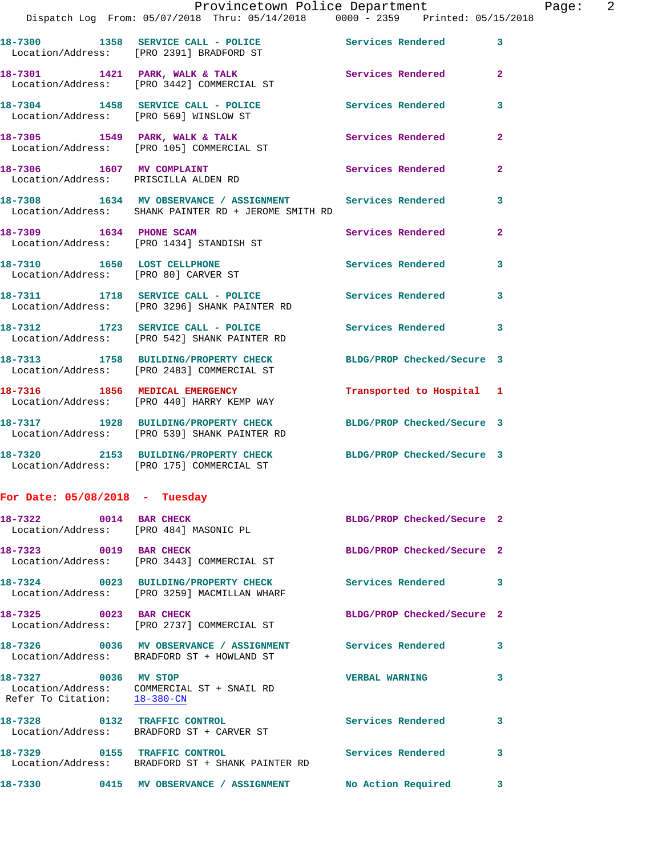|                                  |                                                                                                                   | Provincetown Police Department | Page: 2      |
|----------------------------------|-------------------------------------------------------------------------------------------------------------------|--------------------------------|--------------|
|                                  | Dispatch Log From: 05/07/2018 Thru: 05/14/2018   0000 - 2359   Printed: 05/15/2018                                |                                |              |
|                                  | 18-7300 1358 SERVICE CALL - POLICE Services Rendered 3<br>Location/Address: [PRO 2391] BRADFORD ST                |                                |              |
|                                  | 18-7301 1421 PARK, WALK & TALK Services Rendered<br>Location/Address: [PRO 3442] COMMERCIAL ST                    |                                | $\mathbf{2}$ |
|                                  | 18-7304 1458 SERVICE CALL - POLICE Services Rendered<br>Location/Address: [PRO 569] WINSLOW ST                    |                                | $\mathbf{3}$ |
|                                  | 18-7305 1549 PARK, WALK & TALK Services Rendered Location/Address: [PRO 105] COMMERCIAL ST                        |                                | $\mathbf{2}$ |
|                                  | 18-7306 1607 MV COMPLAINT<br>Location/Address: PRISCILLA ALDEN RD                                                 | Services Rendered              | $\mathbf{2}$ |
|                                  | 18-7308 1634 MV OBSERVANCE / ASSIGNMENT Services Rendered<br>Location/Address: SHANK PAINTER RD + JEROME SMITH RD |                                | 3            |
|                                  | 18-7309 1634 PHONE SCAM<br>Location/Address: [PRO 1434] STANDISH ST                                               | Services Rendered              | $\mathbf{2}$ |
|                                  | 18-7310 1650 LOST CELLPHONE<br>Location/Address: [PRO 80] CARVER ST                                               | Services Rendered              | 3            |
|                                  | 18-7311 1718 SERVICE CALL - POLICE 3 Services Rendered 3<br>Location/Address: [PRO 3296] SHANK PAINTER RD         |                                |              |
|                                  | 18-7312 1723 SERVICE CALL - POLICE Services Rendered<br>Location/Address: [PRO 542] SHANK PAINTER RD              |                                | $\mathbf{3}$ |
|                                  | 18-7313 1758 BUILDING/PROPERTY CHECK BLDG/PROP Checked/Secure 3<br>Location/Address: [PRO 2483] COMMERCIAL ST     |                                |              |
|                                  | 18-7316 1856 MEDICAL EMERGENCY<br>Location/Address: [PRO 440] HARRY KEMP WAY                                      | Transported to Hospital 1      |              |
|                                  | 18-7317 1928 BUILDING/PROPERTY CHECK BLDG/PROP Checked/Secure 3<br>Location/Address: [PRO 539] SHANK PAINTER RD   |                                |              |
|                                  | 18-7320 2153 BUILDING/PROPERTY CHECK BLDG/PROP Checked/Secure 3<br>Location/Address: [PRO 175] COMMERCIAL ST      |                                |              |
| For Date: $05/08/2018$ - Tuesday |                                                                                                                   |                                |              |
|                                  | 18-7322 0014 BAR CHECK<br>Location/Address: [PRO 484] MASONIC PL                                                  | BLDG/PROP Checked/Secure 2     |              |
|                                  | 18-7323 0019 BAR CHECK<br>Location/Address: [PRO 3443] COMMERCIAL ST                                              | BLDG/PROP Checked/Secure 2     |              |
|                                  | 18-7324 0023 BUILDING/PROPERTY CHECK<br>Location/Address: [PRO 3259] MACMILLAN WHARF                              | <b>Services Rendered</b>       | 3            |
|                                  | 18-7325 0023 BAR CHECK<br>Location/Address: [PRO 2737] COMMERCIAL ST                                              | BLDG/PROP Checked/Secure 2     |              |
|                                  | 18-7326 0036 MV OBSERVANCE / ASSIGNMENT Services Rendered<br>Location/Address: BRADFORD ST + HOWLAND ST           |                                | 3            |
| 18-7327 0036 MV STOP             | Location/Address: COMMERCIAL ST + SNAIL RD<br>Refer To Citation: $\frac{18-380-\text{CN}}{}$                      | VERBAL WARNING 3               |              |
|                                  | 18-7328 0132 TRAFFIC CONTROL<br>Location/Address: BRADFORD ST + CARVER ST                                         | Services Rendered              | 3            |
| 18-7329 0155 TRAFFIC CONTROL     | Location/Address: BRADFORD ST + SHANK PAINTER RD                                                                  | Services Rendered              | 3            |
|                                  | 18-7330 0415 MV OBSERVANCE / ASSIGNMENT No Action Required 3                                                      |                                |              |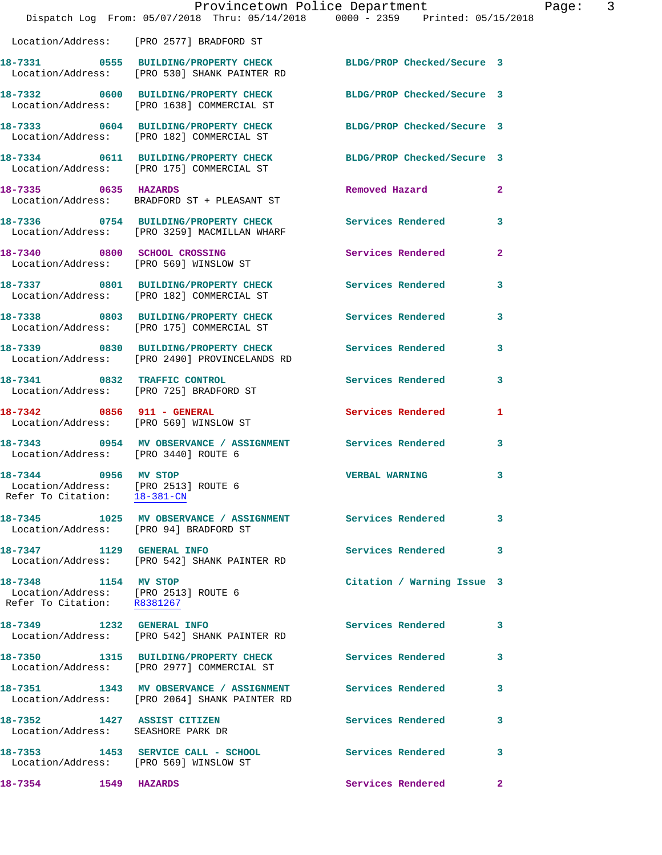|                                                                                              | Dispatch Log From: 05/07/2018 Thru: 05/14/2018 0000 - 2359 Printed: 05/15/2018                                  | Provincetown Police Department | Page: 3      |
|----------------------------------------------------------------------------------------------|-----------------------------------------------------------------------------------------------------------------|--------------------------------|--------------|
|                                                                                              | Location/Address: [PRO 2577] BRADFORD ST                                                                        |                                |              |
|                                                                                              | 18-7331 0555 BUILDING/PROPERTY CHECK BLDG/PROP Checked/Secure 3<br>Location/Address: [PRO 530] SHANK PAINTER RD |                                |              |
|                                                                                              | 18-7332 0600 BUILDING/PROPERTY CHECK BLDG/PROP Checked/Secure 3<br>Location/Address: [PRO 1638] COMMERCIAL ST   |                                |              |
|                                                                                              | 18-7333 0604 BUILDING/PROPERTY CHECK BLDG/PROP Checked/Secure 3<br>Location/Address: [PRO 182] COMMERCIAL ST    |                                |              |
|                                                                                              | 18-7334 0611 BUILDING/PROPERTY CHECK BLDG/PROP Checked/Secure 3<br>Location/Address: [PRO 175] COMMERCIAL ST    |                                |              |
| 18-7335 0635 HAZARDS                                                                         | Location/Address: BRADFORD ST + PLEASANT ST                                                                     | Removed Hazard                 | $\mathbf{2}$ |
|                                                                                              | 18-7336 6754 BUILDING/PROPERTY CHECK Services Rendered<br>Location/Address: [PRO 3259] MACMILLAN WHARF          |                                | $\mathbf{3}$ |
|                                                                                              | 18-7340 0800 SCHOOL CROSSING<br>Location/Address: [PRO 569] WINSLOW ST                                          | Services Rendered              | $\mathbf{2}$ |
|                                                                                              | 18-7337 0801 BUILDING/PROPERTY CHECK Services Rendered<br>Location/Address: [PRO 182] COMMERCIAL ST             |                                | $\mathbf{3}$ |
|                                                                                              | 18-7338 0803 BUILDING/PROPERTY CHECK Services Rendered<br>Location/Address: [PRO 175] COMMERCIAL ST             |                                | 3            |
|                                                                                              | 18-7339 0830 BUILDING/PROPERTY CHECK Services Rendered 3<br>Location/Address: [PRO 2490] PROVINCELANDS RD       |                                |              |
|                                                                                              | 18-7341 0832 TRAFFIC CONTROL<br>Location/Address: [PRO 725] BRADFORD ST                                         | Services Rendered              | 3            |
| 18-7342 0856 911 - GENERAL                                                                   | Location/Address: [PRO 569] WINSLOW ST                                                                          | Services Rendered              | $\mathbf{1}$ |
| Location/Address: [PRO 3440] ROUTE 6                                                         | 18-7343 0954 MV OBSERVANCE / ASSIGNMENT Services Rendered                                                       |                                | 3            |
| 18-7344 0956 MV STOP<br>Location/Address: [PRO 2513] ROUTE 6<br>Refer To Citation: 18-381-CN |                                                                                                                 | <b>VERBAL WARNING</b>          | $\mathbf{3}$ |
| Location/Address: [PRO 94] BRADFORD ST                                                       |                                                                                                                 |                                | $\mathbf{3}$ |
| 18-7347 1129 GENERAL INFO                                                                    | Location/Address: [PRO 542] SHANK PAINTER RD                                                                    | Services Rendered 3            |              |
| 18-7348 1154 MV STOP<br>Location/Address: [PRO 2513] ROUTE 6<br>Refer To Citation: R8381267  |                                                                                                                 | Citation / Warning Issue 3     |              |
|                                                                                              | 18-7349 1232 GENERAL INFO<br>Location/Address: [PRO 542] SHANK PAINTER RD                                       | Services Rendered 3            |              |
|                                                                                              | 18-7350 1315 BUILDING/PROPERTY CHECK<br>Location/Address: [PRO 2977] COMMERCIAL ST                              | <b>Services Rendered</b>       | 3            |
|                                                                                              | 18-7351 1343 MV OBSERVANCE / ASSIGNMENT Services Rendered<br>Location/Address: [PRO 2064] SHANK PAINTER RD      |                                | 3            |
| 18-7352 1427 ASSIST CITIZEN<br>Location/Address: SEASHORE PARK DR                            |                                                                                                                 | Services Rendered              | 3            |
| Location/Address: [PRO 569] WINSLOW ST                                                       | 18-7353 1453 SERVICE CALL - SCHOOL                                                                              | Services Rendered              | 3            |
| 18-7354<br>1549 HAZARDS                                                                      |                                                                                                                 | Services Rendered<br>$\sim$ 2  |              |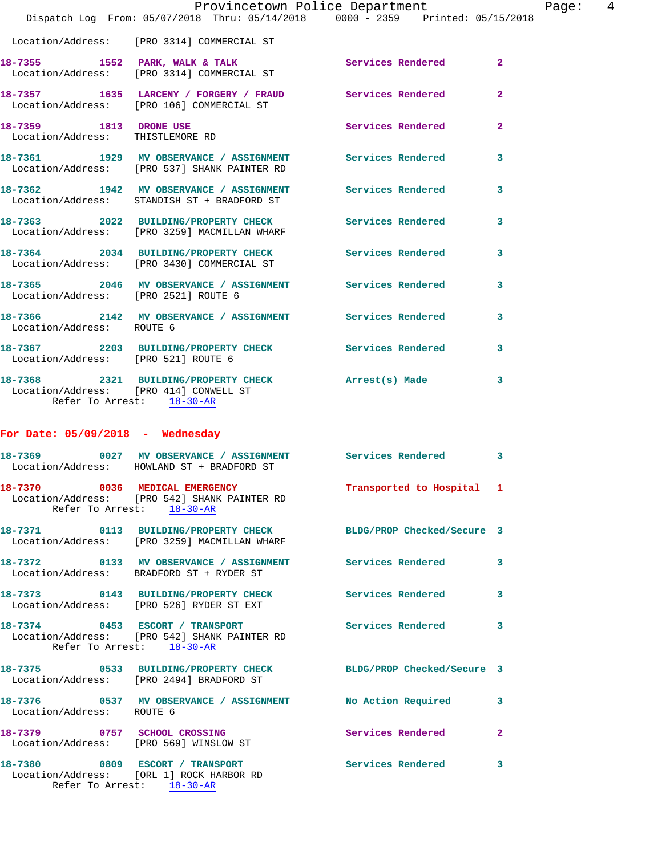|                                                            |                                                                                                               | Provincetown Police Department                                                                        |                |
|------------------------------------------------------------|---------------------------------------------------------------------------------------------------------------|-------------------------------------------------------------------------------------------------------|----------------|
|                                                            |                                                                                                               | Dispatch Log From: 05/07/2018 Thru: 05/14/2018 0000 - 2359 Printed: 05/15/2018                        |                |
|                                                            | Location/Address: [PRO 3314] COMMERCIAL ST                                                                    |                                                                                                       |                |
|                                                            |                                                                                                               | 18-7355 1552 PARK, WALK & TALK (2008) Services Rendered Location/Address: [PRO 3314] COMMERCIAL ST    | $\mathbf{2}$   |
|                                                            |                                                                                                               | 18-7357 1635 LARCENY / FORGERY / FRAUD Services Rendered<br>Location/Address: [PRO 106] COMMERCIAL ST | $\mathbf{2}$   |
| 18-7359 1813 DRONE USE<br>Location/Address: THISTLEMORE RD |                                                                                                               | Services Rendered                                                                                     | 2              |
|                                                            | Location/Address: [PRO 537] SHANK PAINTER RD                                                                  | 18-7361 1929 MV OBSERVANCE / ASSIGNMENT Services Rendered                                             | 3              |
|                                                            | Location/Address: STANDISH ST + BRADFORD ST                                                                   | 18-7362 1942 MV OBSERVANCE / ASSIGNMENT Services Rendered                                             | 3              |
|                                                            | Location/Address: [PRO 3259] MACMILLAN WHARF                                                                  | 18-7363 2022 BUILDING/PROPERTY CHECK Services Rendered                                                | 3              |
|                                                            | Location/Address: [PRO 3430] COMMERCIAL ST                                                                    | 18-7364 2034 BUILDING/PROPERTY CHECK Services Rendered                                                | 3              |
| Location/Address: [PRO 2521] ROUTE 6                       |                                                                                                               | 18-7365 2046 MV OBSERVANCE / ASSIGNMENT Services Rendered                                             | 3              |
| Location/Address: ROUTE 6                                  |                                                                                                               | 18-7366 2142 MV OBSERVANCE / ASSIGNMENT Services Rendered                                             | 3              |
| Location/Address: [PRO 521] ROUTE 6                        |                                                                                                               | 18-7367 2203 BUILDING/PROPERTY CHECK Services Rendered                                                | 3              |
|                                                            | Refer To Arrest: 18-30-AR                                                                                     | 18-7368 2321 BUILDING/PROPERTY CHECK Arrest(s) Made<br>Location/Address: [PRO 414] CONWELL ST         | 3              |
| For Date: $05/09/2018$ - Wednesday                         |                                                                                                               |                                                                                                       |                |
|                                                            | Location/Address: HOWLAND ST + BRADFORD ST                                                                    | 18-7369 0027 MV OBSERVANCE / ASSIGNMENT Services Rendered                                             | 3              |
|                                                            | 18-7370 0036 MEDICAL EMERGENCY<br>Location/Address: [PRO 542] SHANK PAINTER RD<br>Refer To Arrest: $18-30-AR$ | Transported to Hospital 1                                                                             |                |
|                                                            | Location/Address: [PRO 3259] MACMILLAN WHARF                                                                  | 18-7371 0113 BUILDING/PROPERTY CHECK BLDG/PROP Checked/Secure 3                                       |                |
|                                                            | Location/Address: BRADFORD ST + RYDER ST                                                                      | 18-7372 0133 MV OBSERVANCE / ASSIGNMENT Services Rendered                                             | 3              |
|                                                            | 18-7373 0143 BUILDING/PROPERTY CHECK<br>Location/Address: [PRO 526] RYDER ST EXT                              | Services Rendered                                                                                     | 3              |
|                                                            | 18-7374 0453 ESCORT / TRANSPORT<br>Location/Address: [PRO 542] SHANK PAINTER RD<br>Refer To Arrest: 18-30-AR  | Services Rendered                                                                                     | 3              |
|                                                            | 18-7375 0533 BUILDING/PROPERTY CHECK<br>Location/Address: [PRO 2494] BRADFORD ST                              | BLDG/PROP Checked/Secure 3                                                                            |                |
| Location/Address: ROUTE 6                                  | 18-7376 0537 MV OBSERVANCE / ASSIGNMENT                                                                       | No Action Required                                                                                    | 3              |
|                                                            | 18-7379 0757 SCHOOL CROSSING<br>Location/Address: [PRO 569] WINSLOW ST                                        | Services Rendered                                                                                     | $\overline{a}$ |
|                                                            | 18-7380 0809 ESCORT / TRANSPORT<br>Location/Address: [ORL 1] ROCK HARBOR RD                                   | <b>Services Rendered</b>                                                                              | 3              |

Refer To Arrest: 18-30-AR

Page:  $4$ <br>018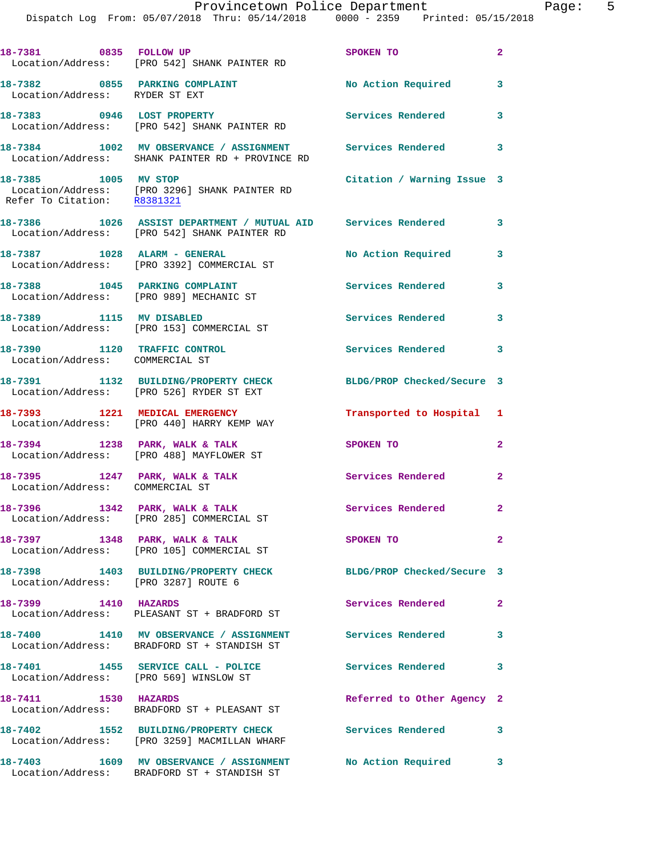| v.<br>. .<br>. . | $\sim$<br> |  |
|------------------|------------|--|
|                  |            |  |
|                  |            |  |

|                                                                   | 18-7381 0835 FOLLOW UP<br>Location/Address: [PRO 542] SHANK PAINTER RD                                          | SPOKEN TO                  | $\mathbf{2}$               |
|-------------------------------------------------------------------|-----------------------------------------------------------------------------------------------------------------|----------------------------|----------------------------|
| 18-7382 0855 PARKING COMPLAINT<br>Location/Address: RYDER ST EXT  |                                                                                                                 | No Action Required         | 3                          |
|                                                                   | 18-7383 0946 LOST PROPERTY<br>Location/Address: [PRO 542] SHANK PAINTER RD                                      | Services Rendered          | 3                          |
|                                                                   | 18-7384 1002 MV OBSERVANCE / ASSIGNMENT Services Rendered 3<br>Location/Address: SHANK PAINTER RD + PROVINCE RD |                            |                            |
| 18-7385 1005 MV STOP<br>Refer To Citation: R8381321               | Location/Address: [PRO 3296] SHANK PAINTER RD                                                                   | Citation / Warning Issue 3 |                            |
|                                                                   | 18-7386 1026 ASSIST DEPARTMENT / MUTUAL AID Services Rendered 3<br>Location/Address: [PRO 542] SHANK PAINTER RD |                            |                            |
|                                                                   | 18-7387 1028 ALARM - GENERAL<br>Location/Address: [PRO 3392] COMMERCIAL ST                                      | No Action Required         | 3                          |
|                                                                   | 18-7388 1045 PARKING COMPLAINT<br>Location/Address: [PRO 989] MECHANIC ST                                       | Services Rendered 3        |                            |
|                                                                   | 18-7389 1115 MV DISABLED<br>Location/Address: [PRO 153] COMMERCIAL ST                                           | <b>Services Rendered</b>   | 3                          |
| 18-7390 1120 TRAFFIC CONTROL<br>Location/Address: COMMERCIAL ST   |                                                                                                                 | <b>Services Rendered</b>   | $\overline{\phantom{a}}$ 3 |
|                                                                   | 18-7391 1132 BUILDING/PROPERTY CHECK<br>Location/Address: [PRO 526] RYDER ST EXT                                | BLDG/PROP Checked/Secure 3 |                            |
|                                                                   | 18-7393 1221 MEDICAL EMERGENCY<br>Location/Address: [PRO 440] HARRY KEMP WAY                                    | Transported to Hospital 1  |                            |
|                                                                   | 18-7394 1238 PARK, WALK & TALK<br>Location/Address: [PRO 488] MAYFLOWER ST                                      | SPOKEN TO                  | 2                          |
| 18-7395 1247 PARK, WALK & TALK<br>Location/Address: COMMERCIAL ST |                                                                                                                 | <b>Services Rendered</b>   | $\overline{\mathbf{2}}$    |
| 18-7396 1342 PARK, WALK & TALK                                    | Location/Address: [PRO 285] COMMERCIAL ST                                                                       | Services Rendered 2        |                            |
|                                                                   | 18-7397 1348 PARK, WALK & TALK<br>Location/Address: [PRO 105] COMMERCIAL ST                                     | SPOKEN TO                  | $\mathbf{2}$               |
| Location/Address: [PRO 3287] ROUTE 6                              | 18-7398 1403 BUILDING/PROPERTY CHECK                                                                            | BLDG/PROP Checked/Secure 3 |                            |
| 18-7399 1410 HAZARDS                                              | Location/Address: PLEASANT ST + BRADFORD ST                                                                     | Services Rendered          | $\mathbf{2}$               |
|                                                                   | 18-7400 1410 MV OBSERVANCE / ASSIGNMENT Services Rendered<br>Location/Address: BRADFORD ST + STANDISH ST        |                            | 3                          |
|                                                                   | 18-7401 1455 SERVICE CALL - POLICE<br>Location/Address: [PRO 569] WINSLOW ST                                    | <b>Services Rendered</b>   | $\overline{\phantom{a}}$ 3 |
| 18-7411 1530 HAZARDS                                              | Location/Address: BRADFORD ST + PLEASANT ST                                                                     | Referred to Other Agency 2 |                            |
|                                                                   | 18-7402 1552 BUILDING/PROPERTY CHECK<br>Location/Address: [PRO 3259] MACMILLAN WHARF                            | Services Rendered          | 3                          |
|                                                                   | 18-7403 1609 MV OBSERVANCE / ASSIGNMENT<br>Location/Address: BRADFORD ST + STANDISH ST                          | No Action Required 3       |                            |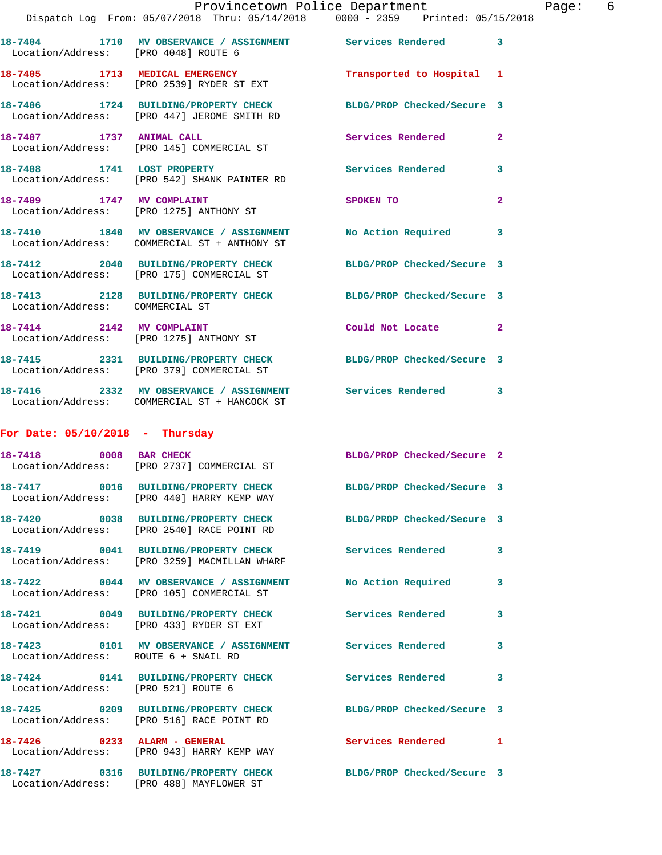|                                      | Dispatch Log From: 05/07/2018 Thru: 05/14/2018 0000 - 2359 Printed: 05/15/2018                                 |                            |              |
|--------------------------------------|----------------------------------------------------------------------------------------------------------------|----------------------------|--------------|
| Location/Address: [PRO 4048] ROUTE 6 | 18-7404 1710 MV OBSERVANCE / ASSIGNMENT Services Rendered                                                      |                            | 3            |
|                                      | 18-7405 1713 MEDICAL EMERGENCY<br>Location/Address: [PRO 2539] RYDER ST EXT                                    | Transported to Hospital    | 1            |
|                                      | 18-7406 1724 BUILDING/PROPERTY CHECK BLDG/PROP Checked/Secure 3<br>Location/Address: [PRO 447] JEROME SMITH RD |                            |              |
| 18-7407 1737 ANIMAL CALL             | Location/Address: [PRO 145] COMMERCIAL ST                                                                      | <b>Services Rendered</b>   | $\mathbf{2}$ |
|                                      | 18-7408 1741 LOST PROPERTY<br>Location/Address: [PRO 542] SHANK PAINTER RD                                     | <b>Services Rendered</b>   | 3            |
| 18-7409 1747 MV COMPLAINT            | Location/Address: [PRO 1275] ANTHONY ST                                                                        | SPOKEN TO                  | 2            |
|                                      | 18-7410 1840 MV OBSERVANCE / ASSIGNMENT No Action Required<br>Location/Address: COMMERCIAL ST + ANTHONY ST     |                            | 3            |
|                                      | 18-7412 2040 BUILDING/PROPERTY CHECK<br>Location/Address: [PRO 175] COMMERCIAL ST                              | BLDG/PROP Checked/Secure 3 |              |
| Location/Address: COMMERCIAL ST      | 18-7413 2128 BUILDING/PROPERTY CHECK                                                                           | BLDG/PROP Checked/Secure 3 |              |
| 18-7414 2142 MV COMPLAINT            | Location/Address: [PRO 1275] ANTHONY ST                                                                        | Could Not Locate           | 2            |
|                                      | 18-7415 2331 BUILDING/PROPERTY CHECK<br>Location/Address: [PRO 379] COMMERCIAL ST                              | BLDG/PROP Checked/Secure 3 |              |
|                                      | 18-7416 2332 MV OBSERVANCE / ASSIGNMENT Services Rendered<br>Location/Address: COMMERCIAL ST + HANCOCK ST      |                            | 3            |
| For Date: $05/10/2018$ - Thursday    |                                                                                                                |                            |              |
|                                      | 18-7418 0008 BAR CHECK<br>Location/Address: [PRO 2737] COMMERCIAL ST                                           | BLDG/PROP Checked/Secure 2 |              |
|                                      | 18-7417 0016 BUILDING/PROPERTY CHECK<br>Location/Address: [PRO 440] HARRY KEMP WAY                             | BLDG/PROP Checked/Secure 3 |              |
|                                      | 18-7420 0038 BUILDING/PROPERTY CHECK BLDG/PROP Checked/Secure 3<br>Location/Address: [PRO 2540] RACE POINT RD  |                            |              |
|                                      | 18-7419 0041 BUILDING/PROPERTY CHECK<br>Location/Address: [PRO 3259] MACMILLAN WHARF                           | Services Rendered          | 3            |
|                                      | 18-7422 0044 MV OBSERVANCE / ASSIGNMENT No Action Required<br>Location/Address: [PRO 105] COMMERCIAL ST        |                            | 3            |
|                                      | 18-7421 0049 BUILDING/PROPERTY CHECK<br>Location/Address: [PRO 433] RYDER ST EXT                               | Services Rendered          | 3            |
| Location/Address: ROUTE 6 + SNAIL RD | 18-7423 0101 MV OBSERVANCE / ASSIGNMENT Services Rendered                                                      |                            | 3            |
| Location/Address: [PRO 521] ROUTE 6  | 18-7424 0141 BUILDING/PROPERTY CHECK                                                                           | Services Rendered          | 3            |
|                                      | 18-7425 0209 BUILDING/PROPERTY CHECK BLDG/PROP Checked/Secure 3<br>Location/Address: [PRO 516] RACE POINT RD   |                            |              |
|                                      | 18-7426 0233 ALARM - GENERAL<br>Location/Address: [PRO 943] HARRY KEMP WAY                                     | <b>Services Rendered</b>   | 1            |
|                                      | 18-7427 0316 BUILDING/PROPERTY CHECK BLDG/PROP Checked/Secure 3<br>Location/Address: [PRO 488] MAYFLOWER ST    |                            |              |
|                                      |                                                                                                                |                            |              |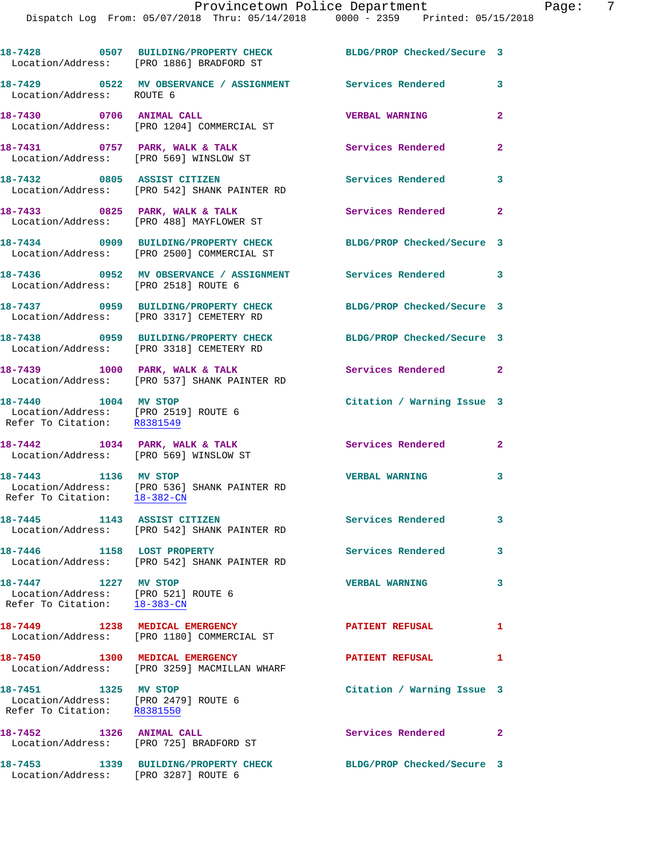|                                                                                             | 18-7428 0507 BUILDING/PROPERTY CHECK<br>Location/Address: [PRO 1886] BRADFORD ST   | BLDG/PROP Checked/Secure 3 |                |
|---------------------------------------------------------------------------------------------|------------------------------------------------------------------------------------|----------------------------|----------------|
| Location/Address: ROUTE 6                                                                   | 18-7429 		 0522 MV OBSERVANCE / ASSIGNMENT Services Rendered 3                     |                            |                |
| 18-7430 0706 ANIMAL CALL                                                                    | Location/Address: [PRO 1204] COMMERCIAL ST                                         | <b>VERBAL WARNING</b>      | $\mathbf{2}$   |
| 18-7431 0757 PARK, WALK & TALK<br>Location/Address: [PRO 569] WINSLOW ST                    |                                                                                    | Services Rendered          | $\overline{2}$ |
|                                                                                             | 18-7432 0805 ASSIST CITIZEN<br>Location/Address: [PRO 542] SHANK PAINTER RD        | Services Rendered          | 3              |
| 18-7433 0825 PARK, WALK & TALK                                                              | Location/Address: [PRO 488] MAYFLOWER ST                                           | Services Rendered          | $\overline{2}$ |
|                                                                                             | 18-7434 0909 BUILDING/PROPERTY CHECK<br>Location/Address: [PRO 2500] COMMERCIAL ST | BLDG/PROP Checked/Secure 3 |                |
| Location/Address: [PRO 2518] ROUTE 6                                                        | 18-7436 0952 MV OBSERVANCE / ASSIGNMENT                                            | Services Rendered 3        |                |
|                                                                                             | 18-7437 0959 BUILDING/PROPERTY CHECK<br>Location/Address: [PRO 3317] CEMETERY RD   | BLDG/PROP Checked/Secure 3 |                |
|                                                                                             | 18-7438 0959 BUILDING/PROPERTY CHECK<br>Location/Address: [PRO 3318] CEMETERY RD   | BLDG/PROP Checked/Secure 3 |                |
|                                                                                             | 18-7439 1000 PARK, WALK & TALK<br>Location/Address: [PRO 537] SHANK PAINTER RD     | Services Rendered 2        |                |
| 18-7440 1004 MV STOP<br>Location/Address: [PRO 2519] ROUTE 6<br>Refer To Citation: R8381549 |                                                                                    | Citation / Warning Issue 3 |                |
| 18-7442 1034 PARK, WALK & TALK<br>Location/Address: [PRO 569] WINSLOW ST                    |                                                                                    | <b>Services Rendered</b> 2 |                |
| 18-7443 1136 MV STOP<br>Refer To Citation: 18-382-CN                                        | Location/Address: [PRO 536] SHANK PAINTER RD                                       | <b>VERBAL WARNING</b>      | 3              |
| 18-7445 1143 ASSIST CITIZEN                                                                 | Location/Address: [PRO 542] SHANK PAINTER RD                                       | Services Rendered          |                |
| 18-7446 1158 LOST PROPERTY                                                                  | Location/Address: [PRO 542] SHANK PAINTER RD                                       | <b>Services Rendered</b>   | 3              |
| 18-7447 1227 MV STOP<br>Location/Address: [PRO 521] ROUTE 6<br>Refer To Citation: 18-383-CN |                                                                                    | <b>VERBAL WARNING</b>      | $\mathbf{3}$   |
|                                                                                             | 18-7449 1238 MEDICAL EMERGENCY<br>Location/Address: [PRO 1180] COMMERCIAL ST       | <b>PATIENT REFUSAL</b>     | 1              |
| 18-7450 1300 MEDICAL EMERGENCY                                                              | Location/Address: [PRO 3259] MACMILLAN WHARF                                       | <b>PATIENT REFUSAL</b>     | 1              |
| 18-7451 1325 MV STOP<br>Location/Address: [PRO 2479] ROUTE 6<br>Refer To Citation: R8381550 |                                                                                    | Citation / Warning Issue 3 |                |
|                                                                                             | 18-7452 1326 ANIMAL CALL<br>Location/Address: [PRO 725] BRADFORD ST                | Services Rendered 2        |                |
| Location/Address: [PRO 3287] ROUTE 6                                                        | 18-7453 1339 BUILDING/PROPERTY CHECK                                               | BLDG/PROP Checked/Secure 3 |                |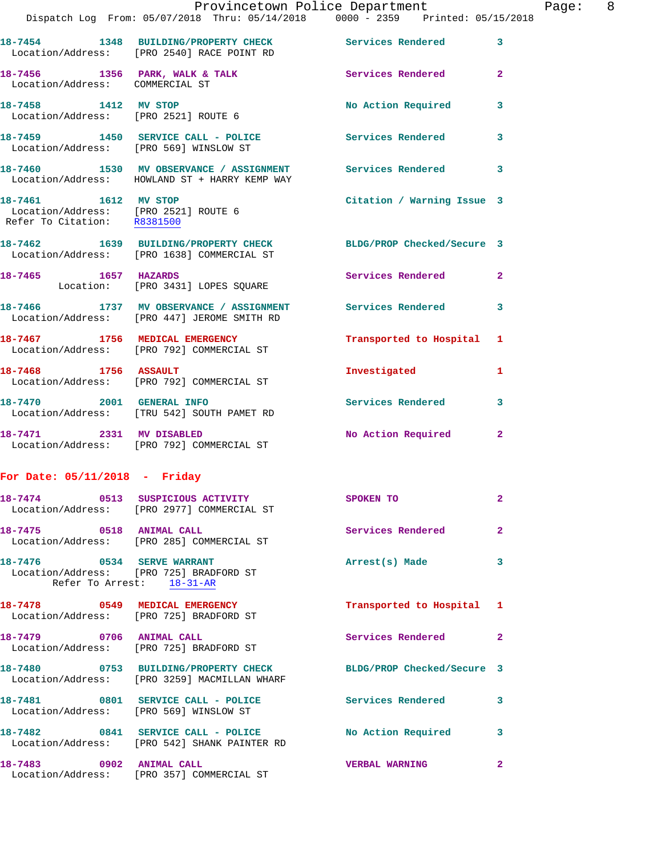|                                 | Dispatch Log From: 05/07/2018 Thru: 05/14/2018 0000 - 2359 Printed: 05/15/2018                                  | Provincetown Police Department |              | Page: 8 |  |
|---------------------------------|-----------------------------------------------------------------------------------------------------------------|--------------------------------|--------------|---------|--|
|                                 | 18-7454 1348 BUILDING/PROPERTY CHECK Services Rendered 3<br>Location/Address: [PRO 2540] RACE POINT RD          |                                |              |         |  |
| Location/Address: COMMERCIAL ST | 18-7456 1356 PARK, WALK & TALK 1988 Services Rendered 2                                                         |                                |              |         |  |
|                                 | 18-7458 1412 MV STOP<br>Location/Address: [PRO 2521] ROUTE 6                                                    | No Action Required 3           |              |         |  |
|                                 | 18-7459 1450 SERVICE CALL - POLICE Services Rendered 3<br>Location/Address: [PRO 569] WINSLOW ST                |                                |              |         |  |
|                                 | 18-7460 1530 MV OBSERVANCE / ASSIGNMENT Services Rendered 3<br>Location/Address: HOWLAND ST + HARRY KEMP WAY    |                                |              |         |  |
| 18-7461 1612 MV STOP            | Location/Address: [PRO 2521] ROUTE 6<br>Refer To Citation: R8381500                                             | Citation / Warning Issue 3     |              |         |  |
|                                 | 18-7462 1639 BUILDING/PROPERTY CHECK BLDG/PROP Checked/Secure 3<br>Location/Address: [PRO 1638] COMMERCIAL ST   |                                |              |         |  |
|                                 | 18-7465 1657 HAZARDS<br>Location: [PRO 3431] LOPES SQUARE                                                       | Services Rendered 2            |              |         |  |
|                                 | 18-7466 1737 MV OBSERVANCE / ASSIGNMENT Services Rendered 3<br>Location/Address: [PRO 447] JEROME SMITH RD      |                                |              |         |  |
|                                 | 18-7467 1756 MEDICAL EMERGENCY<br>Location/Address: [PRO 792] COMMERCIAL ST                                     | Transported to Hospital 1      |              |         |  |
| 18-7468 1756 ASSAULT            | Location/Address: [PRO 792] COMMERCIAL ST                                                                       | Investigated                   | 1            |         |  |
|                                 | 18-7470 2001 GENERAL INFO<br>Location/Address: [TRU 542] SOUTH PAMET RD                                         | Services Rendered 3            |              |         |  |
| 18-7471 2331 MV DISABLED        | Location/Address: [PRO 792] COMMERCIAL ST                                                                       | No Action Required 2           |              |         |  |
| For Date: $05/11/2018$ - Friday |                                                                                                                 |                                |              |         |  |
|                                 | 18-7474 0513 SUSPICIOUS ACTIVITY<br>Location/Address: [PRO 2977] COMMERCIAL ST                                  | SPOKEN TO                      | $\mathbf{2}$ |         |  |
|                                 | 18-7475 0518 ANIMAL CALL<br>Location/Address: [PRO 285] COMMERCIAL ST                                           | Services Rendered              | $\mathbf{2}$ |         |  |
| 18-7476 0534 SERVE WARRANT      | Location/Address: [PRO 725] BRADFORD ST<br>Refer To Arrest: 18-31-AR                                            | Arrest(s) Made 3               |              |         |  |
|                                 | 18-7478 0549 MEDICAL EMERGENCY<br>Location/Address: [PRO 725] BRADFORD ST                                       | Transported to Hospital 1      |              |         |  |
| 18-7479 0706 ANIMAL CALL        | Location/Address: [PRO 725] BRADFORD ST                                                                         | Services Rendered 2            |              |         |  |
|                                 | 18-7480 0753 BUILDING/PROPERTY CHECK BLDG/PROP Checked/Secure 3<br>Location/Address: [PRO 3259] MACMILLAN WHARF |                                |              |         |  |
|                                 | 18-7481 0801 SERVICE CALL - POLICE<br>Location/Address: [PRO 569] WINSLOW ST                                    | Services Rendered 3            |              |         |  |
|                                 | 18-7482 0841 SERVICE CALL - POLICE<br>Location/Address: [PRO 542] SHANK PAINTER RD                              | No Action Required 3           |              |         |  |
| 18-7483 0902 ANIMAL CALL        | Location/Address: [PRO 357] COMMERCIAL ST                                                                       | <b>VERBAL WARNING</b>          | 2            |         |  |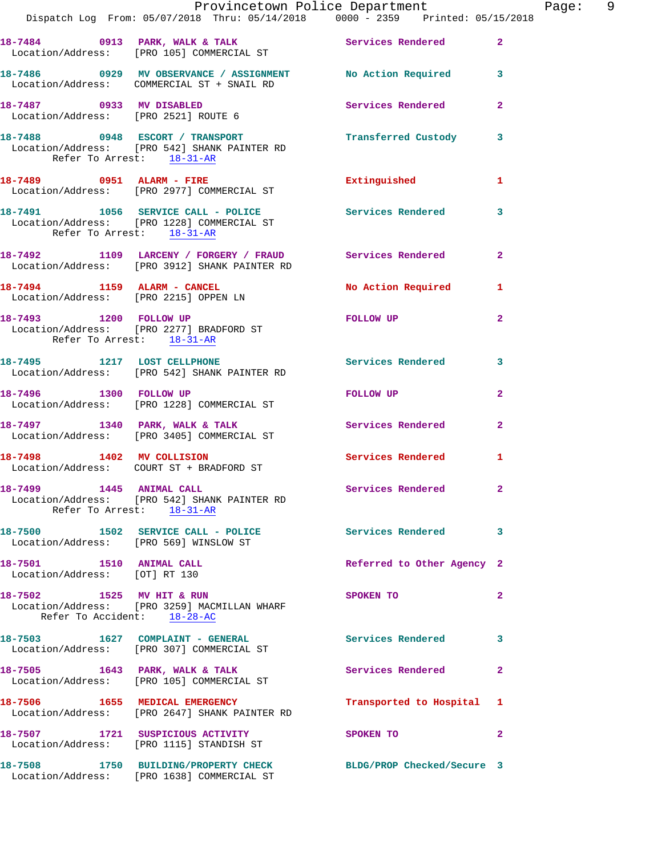|                                                           | Provincetown Police Department The Page: 9<br>Dispatch Log From: 05/07/2018 Thru: 05/14/2018 0000 - 2359 Printed: 05/15/2018 |                            |                |  |
|-----------------------------------------------------------|------------------------------------------------------------------------------------------------------------------------------|----------------------------|----------------|--|
|                                                           | 18-7484 0913 PARK, WALK & TALK 6 Services Rendered 2<br>Location/Address: [PRO 105] COMMERCIAL ST                            |                            |                |  |
|                                                           | 18-7486 0929 MV OBSERVANCE / ASSIGNMENT No Action Required 3<br>Location/Address: COMMERCIAL ST + SNAIL RD                   |                            |                |  |
|                                                           |                                                                                                                              | Services Rendered          | $\mathbf{2}$   |  |
| Refer To Arrest: 18-31-AR                                 | 18-7488 0948 ESCORT / TRANSPORT <b>Example 18-7488</b> Custody 3<br>Location/Address: [PRO 542] SHANK PAINTER RD             |                            |                |  |
|                                                           | 18-7489 0951 ALARM - FIRE<br>Location/Address: [PRO 2977] COMMERCIAL ST                                                      | Extinguished 1             |                |  |
| Refer To Arrest: 18-31-AR                                 | 18-7491 1056 SERVICE CALL - POLICE 3ervices Rendered<br>Location/Address: [PRO 1228] COMMERCIAL ST                           |                            | 3              |  |
|                                                           | 18-7492 1109 LARCENY / FORGERY / FRAUD Services Rendered<br>Location/Address: [PRO 3912] SHANK PAINTER RD                    |                            | $\mathbf{2}$   |  |
|                                                           | 18-7494 1159 ALARM - CANCEL No Action Required 1<br>Location/Address: [PRO 2215] OPPEN LN                                    |                            |                |  |
| Refer To Arrest: 18-31-AR                                 | 18-7493 1200 FOLLOW UP<br>Location/Address: [PRO 2277] BRADFORD ST                                                           | FOLLOW UP                  | $\mathbf{2}$   |  |
|                                                           | 18-7495 1217 LOST CELLPHONE<br>Location/Address: [PRO 542] SHANK PAINTER RD                                                  | Services Rendered 3        |                |  |
|                                                           | 18-7496 1300 FOLLOW UP<br>Location/Address: [PRO 1228] COMMERCIAL ST                                                         | FOLLOW UP                  | $\overline{2}$ |  |
|                                                           | 18-7497 1340 PARK, WALK & TALK 1999 Services Rendered 2<br>Location/Address: [PRO 3405] COMMERCIAL ST                        |                            |                |  |
|                                                           | 18-7498 1402 MV COLLISION<br>Location/Address: COURT ST + BRADFORD ST                                                        | <b>Services Rendered</b>   | 1              |  |
| 18-7499 1445 ANIMAL CALL                                  | Location/Address: [PRO 542] SHANK PAINTER RD<br>Refer To Arrest: 18-31-AR                                                    | Services Rendered          | $\mathbf{2}$   |  |
| Location/Address: [PRO 569] WINSLOW ST                    | 18-7500 1502 SERVICE CALL - POLICE                                                                                           | Services Rendered 3        |                |  |
| 18-7501 1510 ANIMAL CALL<br>Location/Address: [OT] RT 130 |                                                                                                                              | Referred to Other Agency 2 |                |  |
| Refer To Accident: 18-28-AC                               | 18-7502 1525 MV HIT & RUN<br>Location/Address: [PRO 3259] MACMILLAN WHARF                                                    | SPOKEN TO                  | $\mathbf{2}$   |  |
|                                                           | 18-7503 1627 COMPLAINT - GENERAL Services Rendered<br>Location/Address: [PRO 307] COMMERCIAL ST                              |                            | 3              |  |
|                                                           | 18-7505 1643 PARK, WALK & TALK<br>Location/Address: [PRO 105] COMMERCIAL ST                                                  | Services Rendered          | 2              |  |
|                                                           | 18-7506 1655 MEDICAL EMERGENCY<br>Location/Address: [PRO 2647] SHANK PAINTER RD                                              | Transported to Hospital 1  |                |  |
|                                                           | 18-7507 1721 SUSPICIOUS ACTIVITY<br>Location/Address: [PRO 1115] STANDISH ST                                                 | SPOKEN TO                  | $\overline{2}$ |  |
|                                                           | 18-7508 1750 BUILDING/PROPERTY CHECK BLDG/PROP Checked/Secure 3<br>Location/Address: [PRO 1638] COMMERCIAL ST                |                            |                |  |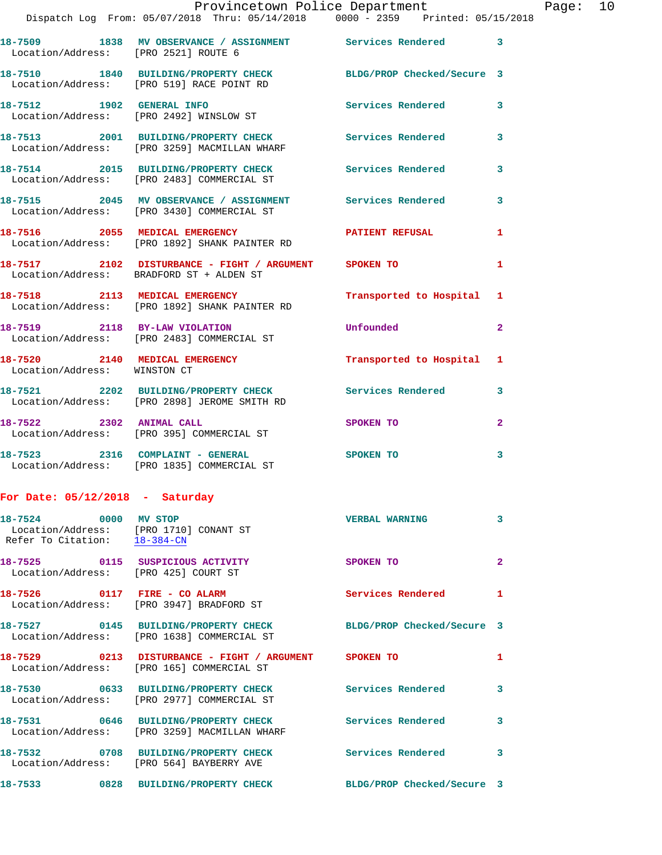| Location/Address: [PRO 2521] ROUTE 6 | 18-7509 1838 MV OBSERVANCE / ASSIGNMENT Services Rendered 3                                             |                            |                |
|--------------------------------------|---------------------------------------------------------------------------------------------------------|----------------------------|----------------|
|                                      | 18-7510 1840 BUILDING/PROPERTY CHECK<br>Location/Address: [PRO 519] RACE POINT RD                       | BLDG/PROP Checked/Secure 3 |                |
| 18-7512 1902 GENERAL INFO            | Location/Address: [PRO 2492] WINSLOW ST                                                                 | <b>Services Rendered</b>   | 3              |
|                                      | 18-7513 2001 BUILDING/PROPERTY CHECK<br>Location/Address: [PRO 3259] MACMILLAN WHARF                    | Services Rendered          | 3              |
|                                      | 18-7514 2015 BUILDING/PROPERTY CHECK<br>Location/Address: [PRO 2483] COMMERCIAL ST                      | <b>Services Rendered</b>   | 3              |
|                                      | 18-7515 2045 MV OBSERVANCE / ASSIGNMENT Services Rendered<br>Location/Address: [PRO 3430] COMMERCIAL ST |                            | 3              |
|                                      | 18-7516 2055 MEDICAL EMERGENCY<br>Location/Address: [PRO 1892] SHANK PAINTER RD                         | <b>PATIENT REFUSAL</b>     | $\mathbf{1}$   |
|                                      | 18-7517 2102 DISTURBANCE - FIGHT / ARGUMENT SPOKEN TO<br>Location/Address: BRADFORD ST + ALDEN ST       |                            | 1              |
|                                      | 18-7518 2113 MEDICAL EMERGENCY<br>Location/Address: [PRO 1892] SHANK PAINTER RD                         | Transported to Hospital 1  |                |
| 18-7519 2118 BY-LAW VIOLATION        | Location/Address: [PRO 2483] COMMERCIAL ST                                                              | Unfounded                  | $\overline{2}$ |
| Location/Address: WINSTON CT         | 18-7520 2140 MEDICAL EMERGENCY                                                                          | Transported to Hospital 1  |                |
|                                      | 18-7521 2202 BUILDING/PROPERTY CHECK Services Rendered<br>Location/Address: [PRO 2898] JEROME SMITH RD  |                            | 3              |
| 18-7522 2302 ANIMAL CALL             | Location/Address: [PRO 395] COMMERCIAL ST                                                               | SPOKEN TO                  | $\overline{2}$ |
|                                      | 18-7523 2316 COMPLAINT - GENERAL<br>Location/Address: [PRO 1835] COMMERCIAL ST                          | SPOKEN TO                  | 3              |

## **For Date: 05/12/2018 - Saturday**

| 18-7524 0000 MV STOP<br>Refer To Citation: 18-384-CN | Location/Address: [PRO 1710] CONANT ST                                                             | <b>VERBAL WARNING</b>      | $\overline{3}$ |
|------------------------------------------------------|----------------------------------------------------------------------------------------------------|----------------------------|----------------|
| Location/Address: [PRO 425] COURT ST                 | 18-7525 0115 SUSPICIOUS ACTIVITY                                                                   | SPOKEN TO                  | $\mathbf{2}$   |
|                                                      | 18-7526 0117 FIRE - CO ALARM<br>Location/Address: [PRO 3947] BRADFORD ST                           | Services Rendered          | $\mathbf{1}$   |
|                                                      | Location/Address: [PRO 1638] COMMERCIAL ST                                                         | BLDG/PROP Checked/Secure 3 |                |
|                                                      | 18-7529 0213 DISTURBANCE - FIGHT / ARGUMENT SPOKEN TO<br>Location/Address: [PRO 165] COMMERCIAL ST |                            | $\mathbf{1}$   |
|                                                      | Location/Address: [PRO 2977] COMMERCIAL ST                                                         |                            | $\mathbf{3}$   |
|                                                      | 18-7531 0646 BUILDING/PROPERTY CHECK<br>Location/Address: [PRO 3259] MACMILLAN WHARF               | <b>Services Rendered</b>   | $\mathbf{3}$   |
|                                                      | 18-7532 0708 BUILDING/PROPERTY CHECK<br>Location/Address: [PRO 564] BAYBERRY AVE                   | Services Rendered          | $\mathbf{3}$   |
|                                                      | 18-7533 0828 BUILDING/PROPERTY CHECK BLDG/PROP Checked/Secure 3                                    |                            |                |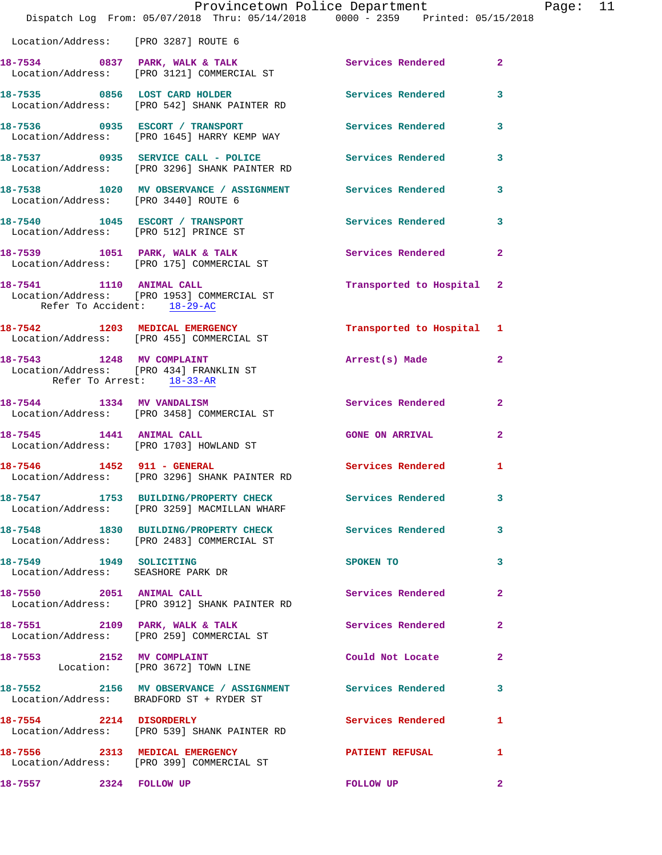|                                       | Provincetown Police Department<br>Dispatch Log From: 05/07/2018 Thru: 05/14/2018 0000 - 2359 Printed: 05/15/2018 |                           |              | Page: 11 |  |
|---------------------------------------|------------------------------------------------------------------------------------------------------------------|---------------------------|--------------|----------|--|
| Location/Address: [PRO 3287] ROUTE 6  |                                                                                                                  |                           |              |          |  |
|                                       | 18-7534 0837 PARK, WALK & TALK 3 Services Rendered 2<br>Location/Address: [PRO 3121] COMMERCIAL ST               |                           |              |          |  |
|                                       | 18-7535 0856 LOST CARD HOLDER Services Rendered 3<br>Location/Address: [PRO 542] SHANK PAINTER RD                |                           |              |          |  |
|                                       | 18-7536 0935 ESCORT / TRANSPORT<br>Location/Address: [PRO 1645] HARRY KEMP WAY                                   | Services Rendered 3       |              |          |  |
|                                       | 18-7537 0935 SERVICE CALL - POLICE Services Rendered 3<br>Location/Address: [PRO 3296] SHANK PAINTER RD          |                           |              |          |  |
|                                       | 18-7538 1020 MV OBSERVANCE / ASSIGNMENT Services Rendered 3<br>Location/Address: [PRO 3440] ROUTE 6              |                           |              |          |  |
| Location/Address: [PRO 512] PRINCE ST | 18-7540 1045 ESCORT / TRANSPORT Services Rendered 3                                                              |                           |              |          |  |
|                                       | 18-7539 1051 PARK, WALK & TALK<br>Location/Address: [PRO 175] COMMERCIAL ST                                      | Services Rendered 2       |              |          |  |
| Refer To Accident: 18-29-AC           | 18-7541 1110 ANIMAL CALL<br>Location/Address: [PRO 1953] COMMERCIAL ST                                           | Transported to Hospital 2 |              |          |  |
|                                       | 18-7542 1203 MEDICAL EMERGENCY<br>Location/Address: [PRO 455] COMMERCIAL ST                                      | Transported to Hospital 1 |              |          |  |
| Refer To Arrest: 18-33-AR             | 18-7543 1248 MV COMPLAINT<br>Location/Address: [PRO 434] FRANKLIN ST                                             | Arrest(s) Made            | $\mathbf{2}$ |          |  |
|                                       | 18-7544 1334 MV VANDALISM<br>Location/Address: [PRO 3458] COMMERCIAL ST                                          | Services Rendered         | $\mathbf{2}$ |          |  |
|                                       | 18-7545 1441 ANIMAL CALL<br>Location/Address: [PRO 1703] HOWLAND ST                                              | <b>GONE ON ARRIVAL</b>    | $\mathbf{2}$ |          |  |
| 18-7546 1452 911 - GENERAL            | Location/Address: [PRO 3296] SHANK PAINTER RD                                                                    | Services Rendered 1       |              |          |  |
|                                       | 18-7547 1753 BUILDING/PROPERTY CHECK Services Rendered 3<br>Location/Address: [PRO 3259] MACMILLAN WHARF         |                           |              |          |  |
|                                       | 18-7548 1830 BUILDING/PROPERTY CHECK Services Rendered 3<br>Location/Address: [PRO 2483] COMMERCIAL ST           |                           |              |          |  |
| Location/Address: SEASHORE PARK DR    | 18-7549 1949 SOLICITING                                                                                          | SPOKEN TO                 | 3            |          |  |
|                                       | 18-7550 2051 ANIMAL CALL 2001 2001 2012<br>Location/Address: [PRO 3912] SHANK PAINTER RD                         |                           |              |          |  |
|                                       | 18-7551 2109 PARK, WALK & TALK 2008 Services Rendered<br>Location/Address: [PRO 259] COMMERCIAL ST               |                           | $\mathbf{2}$ |          |  |
|                                       | 18-7553 2152 MV COMPLAINT<br>Location: [PRO 3672] TOWN LINE                                                      | Could Not Locate          | $\mathbf{2}$ |          |  |
|                                       | 18-7552 2156 MV OBSERVANCE / ASSIGNMENT Services Rendered 3<br>Location/Address: BRADFORD ST + RYDER ST          |                           |              |          |  |
| 18-7554 2214 DISORDERLY               | Location/Address: [PRO 539] SHANK PAINTER RD                                                                     | Services Rendered 1       |              |          |  |
|                                       | 18-7556 2313 MEDICAL EMERGENCY<br>Location/Address: [PRO 399] COMMERCIAL ST                                      | PATIENT REFUSAL 1         |              |          |  |
| 18-7557 2324 FOLLOW UP                |                                                                                                                  | FOLLOW UP                 | $\mathbf{2}$ |          |  |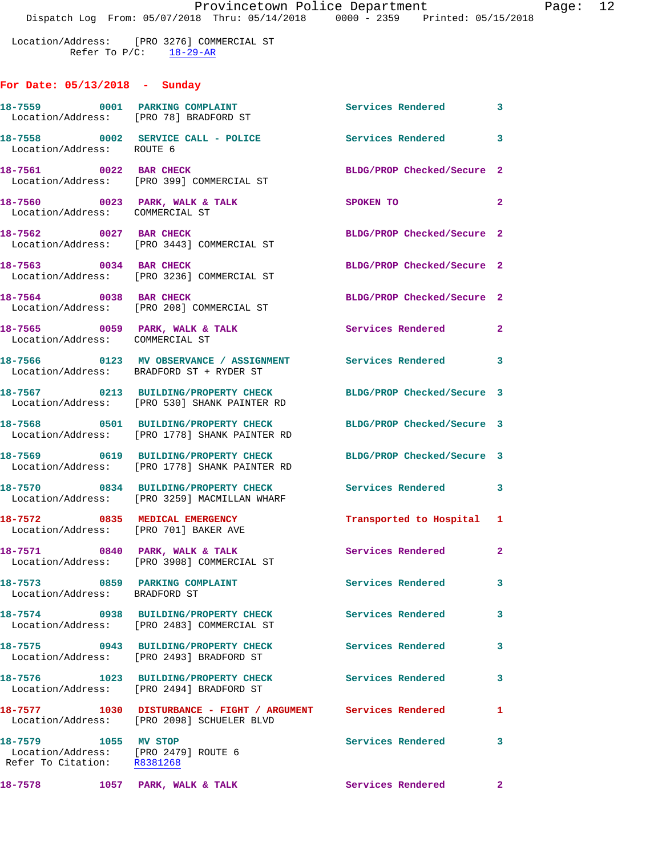Location/Address: [PRO 3276] COMMERCIAL ST Refer To  $P/C$ :  $\frac{18-29-AR}{2}$ 

## **For Date: 05/13/2018 - Sunday**

| 18-7559 0001 PARKING COMPLAINT                                                              | Location/Address: [PRO 78] BRADFORD ST                                                                      | Services Rendered 3        |              |
|---------------------------------------------------------------------------------------------|-------------------------------------------------------------------------------------------------------------|----------------------------|--------------|
| Location/Address: ROUTE 6                                                                   | 18-7558 0002 SERVICE CALL - POLICE                                                                          | Services Rendered 3        |              |
| 18-7561 0022 BAR CHECK                                                                      | Location/Address: [PRO 399] COMMERCIAL ST                                                                   | BLDG/PROP Checked/Secure 2 |              |
| Location/Address: COMMERCIAL ST                                                             | $18-7560$ 0023 PARK, WALK & TALK                                                                            | <b>SPOKEN TO</b>           | $\mathbf{2}$ |
|                                                                                             | 18-7562 0027 BAR CHECK<br>Location/Address: [PRO 3443] COMMERCIAL ST                                        | BLDG/PROP Checked/Secure 2 |              |
| 18-7563 0034 BAR CHECK                                                                      | Location/Address: [PRO 3236] COMMERCIAL ST                                                                  | BLDG/PROP Checked/Secure 2 |              |
| 18-7564 0038 BAR CHECK                                                                      | Location/Address: [PRO 208] COMMERCIAL ST                                                                   | BLDG/PROP Checked/Secure 2 |              |
| Location/Address: COMMERCIAL ST                                                             | 18-7565 0059 PARK, WALK & TALK                                                                              | Services Rendered 2        |              |
|                                                                                             | 18-7566 0123 MV OBSERVANCE / ASSIGNMENT Services Rendered 3<br>Location/Address: BRADFORD ST + RYDER ST     |                            |              |
|                                                                                             | 18-7567 0213 BUILDING/PROPERTY CHECK<br>Location/Address: [PRO 530] SHANK PAINTER RD                        | BLDG/PROP Checked/Secure 3 |              |
|                                                                                             | 18-7568 0501 BUILDING/PROPERTY CHECK<br>Location/Address: [PRO 1778] SHANK PAINTER RD                       | BLDG/PROP Checked/Secure 3 |              |
|                                                                                             | 18-7569 0619 BUILDING/PROPERTY CHECK<br>Location/Address: [PRO 1778] SHANK PAINTER RD                       | BLDG/PROP Checked/Secure 3 |              |
|                                                                                             | 18-7570 0834 BUILDING/PROPERTY CHECK<br>Location/Address: [PRO 3259] MACMILLAN WHARF                        | Services Rendered 3        |              |
| 18-7572 0835 MEDICAL EMERGENCY<br>Location/Address: [PRO 701] BAKER AVE                     |                                                                                                             | Transported to Hospital 1  |              |
|                                                                                             | 18-7571 0840 PARK, WALK & TALK<br>Location/Address: [PRO 3908] COMMERCIAL ST                                | Services Rendered 2        |              |
| Location/Address: BRADFORD ST                                                               | 18-7573 0859 PARKING COMPLAINT                                                                              | Services Rendered 3        |              |
|                                                                                             | 18-7574 0938 BUILDING/PROPERTY CHECK<br>Location/Address: [PRO 2483] COMMERCIAL ST                          | Services Rendered          | 3            |
|                                                                                             | 18-7575 0943 BUILDING/PROPERTY CHECK<br>Location/Address: [PRO 2493] BRADFORD ST                            | <b>Services Rendered</b>   | $\mathbf{3}$ |
|                                                                                             | 18-7576 1023 BUILDING/PROPERTY CHECK<br>Location/Address: [PRO 2494] BRADFORD ST                            | <b>Services Rendered</b>   | 3            |
|                                                                                             | 18-7577 1030 DISTURBANCE - FIGHT / ARGUMENT Services Rendered<br>Location/Address: [PRO 2098] SCHUELER BLVD |                            | 1            |
| 18-7579 1055 MV STOP<br>Location/Address: [PRO 2479] ROUTE 6<br>Refer To Citation: R8381268 |                                                                                                             | Services Rendered          | 3            |
| 18-7578 1057 PARK, WALK & TALK                                                              |                                                                                                             | Services Rendered 2        |              |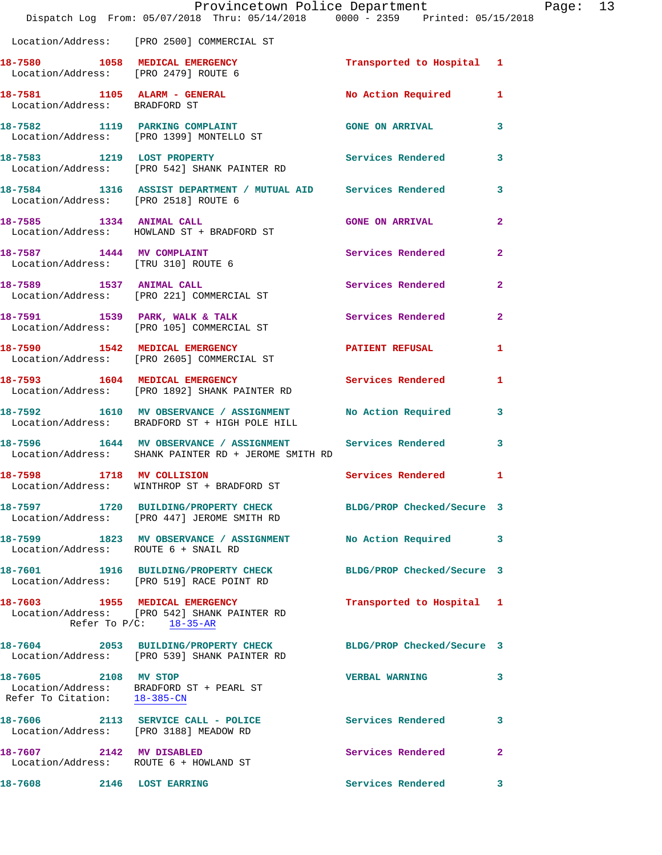|                                                               | Provincetown Police Department<br>Dispatch Log From: 05/07/2018 Thru: 05/14/2018 0000 - 2359 Printed: 05/15/2018        |                            |              |
|---------------------------------------------------------------|-------------------------------------------------------------------------------------------------------------------------|----------------------------|--------------|
|                                                               | Location/Address: [PRO 2500] COMMERCIAL ST                                                                              |                            |              |
|                                                               | 18-7580 1058 MEDICAL EMERGENCY<br>Location/Address: [PRO 2479] ROUTE 6                                                  | Transported to Hospital 1  |              |
| 18-7581 1105 ALARM - GENERAL<br>Location/Address: BRADFORD ST |                                                                                                                         | <b>No Action Required</b>  | 1            |
|                                                               | 18-7582 1119 PARKING COMPLAINT<br>Location/Address: [PRO 1399] MONTELLO ST                                              | <b>GONE ON ARRIVAL</b>     | 3            |
|                                                               | 18-7583 1219 LOST PROPERTY<br>Location/Address: [PRO 542] SHANK PAINTER RD                                              | <b>Services Rendered</b>   | 3            |
| Location/Address: [PRO 2518] ROUTE 6                          | 18-7584 1316 ASSIST DEPARTMENT / MUTUAL AID Services Rendered                                                           |                            | 3            |
|                                                               | 18-7585 1334 ANIMAL CALL<br>Location/Address: HOWLAND ST + BRADFORD ST                                                  | <b>GONE ON ARRIVAL</b>     | $\mathbf{2}$ |
| 18-7587 1444 MV COMPLAINT                                     | Location/Address: [TRU 310] ROUTE 6                                                                                     | <b>Services Rendered</b>   | $\mathbf{2}$ |
|                                                               | 18-7589 1537 ANIMAL CALL<br>Location/Address: [PRO 221] COMMERCIAL ST                                                   | <b>Services Rendered</b>   | $\mathbf{2}$ |
|                                                               | 18-7591 1539 PARK, WALK & TALK<br>Location/Address: [PRO 105] COMMERCIAL ST                                             | Services Rendered          | 2            |
|                                                               | 18-7590 1542 MEDICAL EMERGENCY<br>Location/Address: [PRO 2605] COMMERCIAL ST                                            | <b>PATIENT REFUSAL</b>     | 1            |
|                                                               | 18-7593 1604 MEDICAL EMERGENCY<br>Location/Address: [PRO 1892] SHANK PAINTER RD                                         | <b>Services Rendered</b>   | 1            |
|                                                               | 18-7592 1610 MV OBSERVANCE / ASSIGNMENT No Action Required<br>Location/Address: BRADFORD ST + HIGH POLE HILL            |                            | 3            |
|                                                               | 18-7596 1644 MV OBSERVANCE / ASSIGNMENT Services Rendered<br>Location/Address: SHANK PAINTER RD + JEROME SMITH RD       |                            | 3            |
| 18-7598 1718 MV COLLISION                                     | Location/Address: WINTHROP ST + BRADFORD ST                                                                             | Services Rendered          | 1            |
|                                                               | 18-7597 1720 BUILDING/PROPERTY CHECK BLDG/PROP Checked/Secure 3<br>Location/Address: [PRO 447] JEROME SMITH RD          |                            |              |
|                                                               | 18-7599 1823 MV OBSERVANCE / ASSIGNMENT<br>Location/Address: ROUTE 6 + SNAIL RD                                         | No Action Required         | 3            |
|                                                               | 18-7601 1916 BUILDING/PROPERTY CHECK<br>Location/Address: [PRO 519] RACE POINT RD                                       | BLDG/PROP Checked/Secure 3 |              |
|                                                               | 18-7603 1955 MEDICAL EMERGENCY<br>Location/Address: [PRO 542] SHANK PAINTER RD<br>Refer To $P/C$ : $\frac{18-35-AR}{2}$ | Transported to Hospital    | 1            |
|                                                               | 18-7604 2053 BUILDING/PROPERTY CHECK<br>Location/Address: [PRO 539] SHANK PAINTER RD                                    | BLDG/PROP Checked/Secure 3 |              |
| 18-7605 2108 MV STOP<br>Refer To Citation: 18-385-CN          | Location/Address: BRADFORD ST + PEARL ST                                                                                | <b>VERBAL WARNING</b>      | 3            |
|                                                               | 18-7606 2113 SERVICE CALL - POLICE<br>Location/Address: [PRO 3188] MEADOW RD                                            | <b>Services Rendered</b>   | 3            |
| 18-7607 2142 MV DISABLED                                      | Location/Address: ROUTE 6 + HOWLAND ST                                                                                  | Services Rendered          | 2            |
| 18-7608 2146 LOST EARRING                                     |                                                                                                                         | Services Rendered          | 3            |

Page: 13<br><sup>18</sup>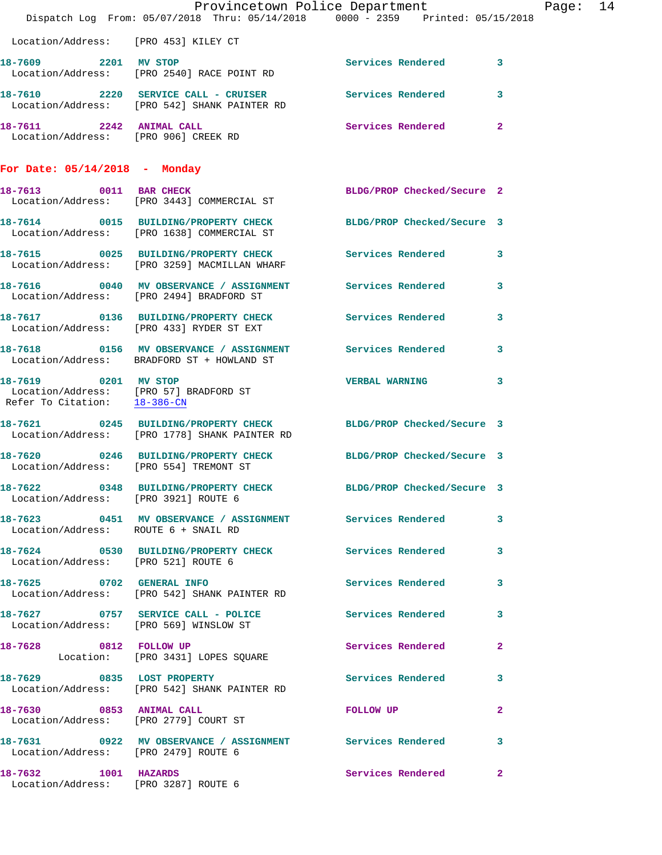|                                                              |                                                                                                                  | Provincetown Police Department |              | Page: 14 |  |
|--------------------------------------------------------------|------------------------------------------------------------------------------------------------------------------|--------------------------------|--------------|----------|--|
|                                                              | Dispatch Log From: 05/07/2018 Thru: 05/14/2018 0000 - 2359 Printed: 05/15/2018                                   |                                |              |          |  |
| Location/Address: [PRO 453] KILEY CT                         |                                                                                                                  |                                |              |          |  |
| 18-7609 2201 MV STOP                                         | Location/Address: [PRO 2540] RACE POINT RD                                                                       | Services Rendered 3            |              |          |  |
|                                                              | 18-7610 2220 SERVICE CALL - CRUISER Services Rendered<br>Location/Address: [PRO 542] SHANK PAINTER RD            |                                | 3            |          |  |
|                                                              | 18-7611 2242 ANIMAL CALL<br>Location/Address: [PRO 906] CREEK RD                                                 | Services Rendered              | $\mathbf{2}$ |          |  |
| For Date: $05/14/2018$ - Monday                              |                                                                                                                  |                                |              |          |  |
|                                                              | 18-7613 0011 BAR CHECK<br>Location/Address: [PRO 3443] COMMERCIAL ST                                             | BLDG/PROP Checked/Secure 2     |              |          |  |
|                                                              | 18-7614 0015 BUILDING/PROPERTY CHECK BLDG/PROP Checked/Secure 3<br>Location/Address: [PRO 1638] COMMERCIAL ST    |                                |              |          |  |
|                                                              | 18-7615 0025 BUILDING/PROPERTY CHECK Services Rendered 3<br>Location/Address: [PRO 3259] MACMILLAN WHARF         |                                |              |          |  |
|                                                              | 18-7616 0040 MV OBSERVANCE / ASSIGNMENT Services Rendered<br>Location/Address: [PRO 2494] BRADFORD ST            |                                | 3            |          |  |
|                                                              | 18-7617 0136 BUILDING/PROPERTY CHECK Services Rendered<br>Location/Address: [PRO 433] RYDER ST EXT               |                                | 3            |          |  |
|                                                              | 18-7618 0156 MV OBSERVANCE / ASSIGNMENT Services Rendered 3<br>Location/Address: BRADFORD ST + HOWLAND ST        |                                |              |          |  |
| 18-7619 0201 MV STOP                                         | Location/Address: [PRO 57] BRADFORD ST<br>Refer To Citation: $\frac{18-386-CN}{28}$                              | <b>VERBAL WARNING</b>          | 3            |          |  |
|                                                              | 18-7621 0245 BUILDING/PROPERTY CHECK BLDG/PROP Checked/Secure 3<br>Location/Address: [PRO 1778] SHANK PAINTER RD |                                |              |          |  |
| Location/Address: [PRO 554] TREMONT ST                       | 18-7620 0246 BUILDING/PROPERTY CHECK BLDG/PROP Checked/Secure 3                                                  |                                |              |          |  |
| Location/Address: [PRO 3921] ROUTE 6                         | 18-7622 0348 BUILDING/PROPERTY CHECK BLDG/PROP Checked/Secure 3                                                  |                                |              |          |  |
| Location/Address: ROUTE 6 + SNAIL RD                         | 18-7623 0451 MV OBSERVANCE / ASSIGNMENT Services Rendered                                                        |                                | 3            |          |  |
| Location/Address: [PRO 521] ROUTE 6                          | 18-7624 0530 BUILDING/PROPERTY CHECK Services Rendered                                                           |                                | 3            |          |  |
|                                                              | 18-7625 0702 GENERAL INFO<br>Location/Address: [PRO 542] SHANK PAINTER RD                                        | Services Rendered              | 3            |          |  |
|                                                              | 18-7627 0757 SERVICE CALL - POLICE<br>Location/Address: [PRO 569] WINSLOW ST                                     | Services Rendered              | 3            |          |  |
|                                                              | 18-7628 0812 FOLLOW UP<br>Location: [PRO 3431] LOPES SQUARE                                                      | Services Rendered              | $\mathbf{2}$ |          |  |
|                                                              | 18-7629 0835 LOST PROPERTY<br>Location/Address: [PRO 542] SHANK PAINTER RD                                       | Services Rendered              | 3            |          |  |
| Location/Address: [PRO 2779] COURT ST                        | 18-7630 0853 ANIMAL CALL                                                                                         | FOLLOW UP                      | 2            |          |  |
| Location/Address: [PRO 2479] ROUTE 6                         | 18-7631 0922 MV OBSERVANCE / ASSIGNMENT Services Rendered                                                        |                                | 3            |          |  |
| 18-7632 1001 HAZARDS<br>Location/Address: [PRO 3287] ROUTE 6 |                                                                                                                  | Services Rendered              | 2            |          |  |
|                                                              |                                                                                                                  |                                |              |          |  |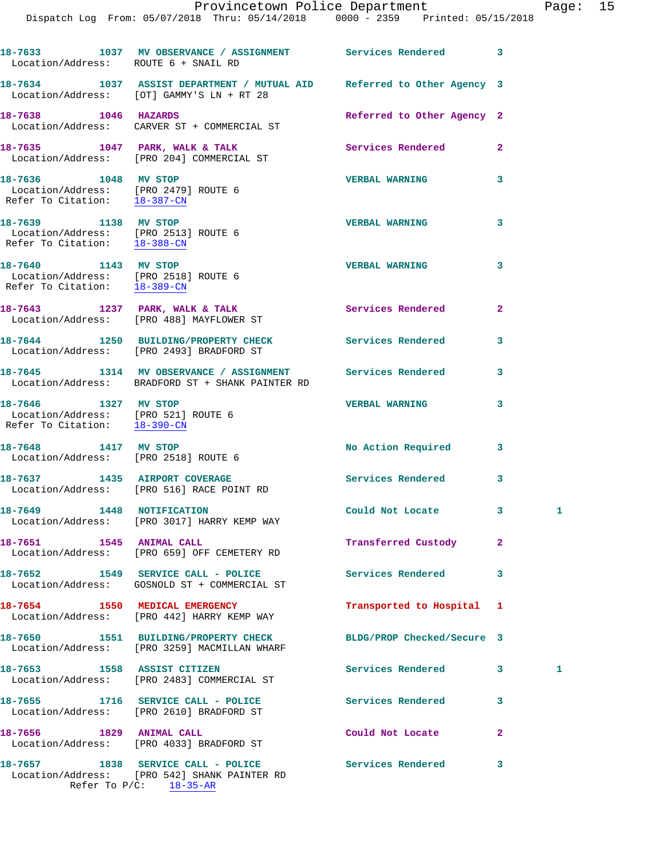| Provincetown Police Department                 |  |  |  |  | Page: $15$ |                                 |  |  |
|------------------------------------------------|--|--|--|--|------------|---------------------------------|--|--|
| Dispatch Log From: 05/07/2018 Thru: 05/14/2018 |  |  |  |  |            | 0000 - 2359 Printed: 05/15/2018 |  |  |
|                                                |  |  |  |  |            |                                 |  |  |

| Location/Address: ROUTE 6 + SNAIL RD                                                         | 18-7633 1037 MV OBSERVANCE / ASSIGNMENT Services Rendered 3                                                         |                             |              |   |
|----------------------------------------------------------------------------------------------|---------------------------------------------------------------------------------------------------------------------|-----------------------------|--------------|---|
|                                                                                              | 18-7634 1037 ASSIST DEPARTMENT / MUTUAL AID Referred to Other Agency 3<br>Location/Address: [OT] GAMMY'S LN + RT 28 |                             |              |   |
| 18-7638 1046 HAZARDS                                                                         | Location/Address: CARVER ST + COMMERCIAL ST                                                                         | Referred to Other Agency 2  |              |   |
|                                                                                              | 18-7635 1047 PARK, WALK & TALK<br>Location/Address: [PRO 204] COMMERCIAL ST                                         | <b>Services Rendered 22</b> |              |   |
| 18-7636 1048 MV STOP<br>Location/Address: [PRO 2479] ROUTE 6<br>Refer To Citation: 18-387-CN |                                                                                                                     | <b>VERBAL WARNING</b>       | 3            |   |
| 18-7639 1138 MV STOP<br>Location/Address: [PRO 2513] ROUTE 6<br>Refer To Citation: 18-388-CN |                                                                                                                     | <b>VERBAL WARNING</b>       | 3            |   |
| 18-7640 1143 MV STOP<br>Location/Address: [PRO 2518] ROUTE 6<br>Refer To Citation: 18-389-CN |                                                                                                                     | <b>VERBAL WARNING</b>       | 3            |   |
|                                                                                              | 18-7643 1237 PARK, WALK & TALK<br>Location/Address: [PRO 488] MAYFLOWER ST                                          | Services Rendered           | $\mathbf{2}$ |   |
|                                                                                              | 18-7644 1250 BUILDING/PROPERTY CHECK<br>Location/Address: [PRO 2493] BRADFORD ST                                    | Services Rendered           | 3            |   |
|                                                                                              | 18-7645 1314 MV OBSERVANCE / ASSIGNMENT Services Rendered<br>Location/Address: BRADFORD ST + SHANK PAINTER RD       |                             | 3            |   |
| 18-7646 1327 MV STOP<br>Location/Address: [PRO 521] ROUTE 6<br>Refer To Citation: 18-390-CN  |                                                                                                                     | <b>VERBAL WARNING</b>       | 3            |   |
| 18-7648 1417 MV STOP<br>Location/Address: [PRO 2518] ROUTE 6                                 |                                                                                                                     | No Action Required          | 3            |   |
| 18-7637 1435 AIRPORT COVERAGE                                                                | Location/Address: [PRO 516] RACE POINT RD                                                                           | <b>Services Rendered</b>    | 3            |   |
| 18-7649 1448 NOTIFICATION                                                                    | Location/Address: [PRO 3017] HARRY KEMP WAY                                                                         | Could Not Locate 3          |              | 1 |
| 18-7651 1545 ANIMAL CALL                                                                     | Location/Address: [PRO 659] OFF CEMETERY RD                                                                         | Transferred Custody         | 2            |   |
|                                                                                              | 18-7652 1549 SERVICE CALL - POLICE<br>Location/Address: GOSNOLD ST + COMMERCIAL ST                                  | Services Rendered           | 3            |   |
|                                                                                              | 18-7654 1550 MEDICAL EMERGENCY<br>Location/Address: [PRO 442] HARRY KEMP WAY                                        | Transported to Hospital 1   |              |   |
|                                                                                              | 18-7650 1551 BUILDING/PROPERTY CHECK<br>Location/Address: [PRO 3259] MACMILLAN WHARF                                | BLDG/PROP Checked/Secure 3  |              |   |
| 18-7653 1558 ASSIST CITIZEN                                                                  | Location/Address: [PRO 2483] COMMERCIAL ST                                                                          | Services Rendered           | 3            | 1 |
|                                                                                              | 18-7655 1716 SERVICE CALL - POLICE<br>Location/Address: [PRO 2610] BRADFORD ST                                      | Services Rendered           | 3            |   |
| 18-7656 1829 ANIMAL CALL                                                                     | Location/Address: [PRO 4033] BRADFORD ST                                                                            | Could Not Locate            | $\mathbf{2}$ |   |
|                                                                                              | 18-7657 1838 SERVICE CALL - POLICE<br>Location/Address: [PRO 542] SHANK PAINTER RD                                  | <b>Services Rendered</b>    | 3            |   |

Refer To P/C: 18-35-AR